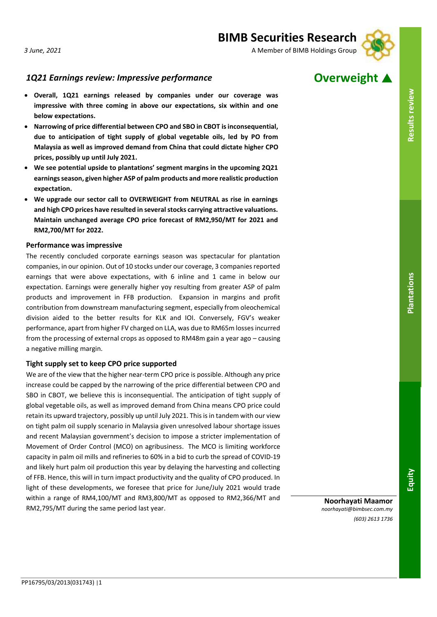# 1Q21 Earnings review: Impressive performance **Overweight**

- **Overall, 1Q21 earnings released by companies under our coverage was impressive with three coming in above our expectations, six within and one below expectations.**
- **Narrowing of price differential between CPO and SBO in CBOT is inconsequential, due to anticipation of tight supply of global vegetable oils, led by PO from Malaysia as well as improved demand from China that could dictate higher CPO prices, possibly up until July 2021.**
- **We see potential upside to plantations' segment margins in the upcoming 2Q21 earnings season, given higher ASP of palm products and more realistic production expectation.**
- **We upgrade our sector call to OVERWEIGHT from NEUTRAL as rise in earnings and high CPO prices have resulted in several stocks carrying attractive valuations. Maintain unchanged average CPO price forecast of RM2,950/MT for 2021 and RM2,700/MT for 2022.**

### **Performance was impressive**

The recently concluded corporate earnings season was spectacular for plantation companies, in our opinion. Out of 10 stocks under our coverage, 3 companies reported earnings that were above expectations, with 6 inline and 1 came in below our expectation. Earnings were generally higher yoy resulting from greater ASP of palm products and improvement in FFB production. Expansion in margins and profit contribution from downstream manufacturing segment, especially from oleochemical division aided to the better results for KLK and IOI. Conversely, FGV's weaker performance, apart from higher FV charged on LLA, was due to RM65m losses incurred from the processing of external crops as opposed to RM48m gain a year ago – causing a negative milling margin.

## **Tight supply set to keep CPO price supported**

We are of the view that the higher near-term CPO price is possible. Although any price increase could be capped by the narrowing of the price differential between CPO and SBO in CBOT, we believe this is inconsequential. The anticipation of tight supply of global vegetable oils, as well as improved demand from China means CPO price could retain its upward trajectory, possibly up until July 2021. This is in tandem with our view on tight palm oil supply scenario in Malaysia given unresolved labour shortage issues and recent Malaysian government's decision to impose a stricter implementation of Movement of Order Control (MCO) on agribusiness. The MCO is limiting workforce capacity in palm oil mills and refineries to 60% in a bid to curb the spread of COVID-19 and likely hurt palm oil production this year by delaying the harvesting and collecting of FFB. Hence, this will in turn impact productivity and the quality of CPO produced. In light of these developments, we foresee that price for June/July 2021 would trade within a range of RM4,100/MT and RM3,800/MT as opposed to RM2,366/MT and RM2,795/MT during the same period last year.

**Noorhayati Maamor** *noorhayati@bimbsec.com.my (603) 2613 1736*

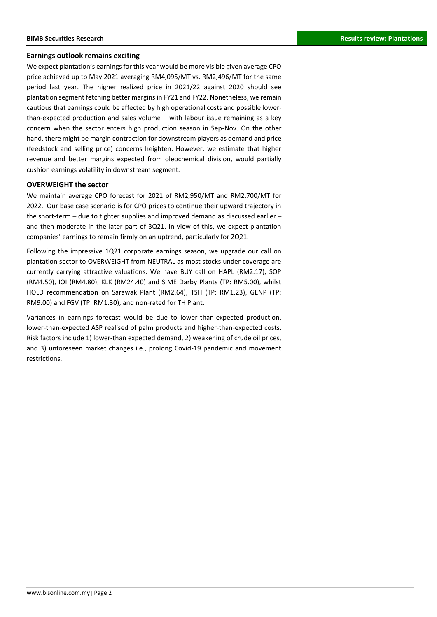## **Earnings outlook remains exciting**

We expect plantation's earnings for this year would be more visible given average CPO price achieved up to May 2021 averaging RM4,095/MT vs. RM2,496/MT for the same period last year. The higher realized price in 2021/22 against 2020 should see plantation segment fetching better margins in FY21 and FY22. Nonetheless, we remain cautious that earnings could be affected by high operational costs and possible lowerthan-expected production and sales volume – with labour issue remaining as a key concern when the sector enters high production season in Sep-Nov. On the other hand, there might be margin contraction for downstream players as demand and price (feedstock and selling price) concerns heighten. However, we estimate that higher revenue and better margins expected from oleochemical division, would partially cushion earnings volatility in downstream segment.

## **OVERWEIGHT the sector**

We maintain average CPO forecast for 2021 of RM2,950/MT and RM2,700/MT for 2022. Our base case scenario is for CPO prices to continue their upward trajectory in the short-term – due to tighter supplies and improved demand as discussed earlier – and then moderate in the later part of 3Q21. In view of this, we expect plantation companies' earnings to remain firmly on an uptrend, particularly for 2Q21.

Following the impressive 1Q21 corporate earnings season, we upgrade our call on plantation sector to OVERWEIGHT from NEUTRAL as most stocks under coverage are currently carrying attractive valuations. We have BUY call on HAPL (RM2.17), SOP (RM4.50), IOI (RM4.80), KLK (RM24.40) and SIME Darby Plants (TP: RM5.00), whilst HOLD recommendation on Sarawak Plant (RM2.64), TSH (TP: RM1.23), GENP (TP: RM9.00) and FGV (TP: RM1.30); and non-rated for TH Plant.

Variances in earnings forecast would be due to lower-than-expected production, lower-than-expected ASP realised of palm products and higher-than-expected costs. Risk factors include 1) lower-than expected demand, 2) weakening of crude oil prices, and 3) unforeseen market changes i.e., prolong Covid-19 pandemic and movement restrictions.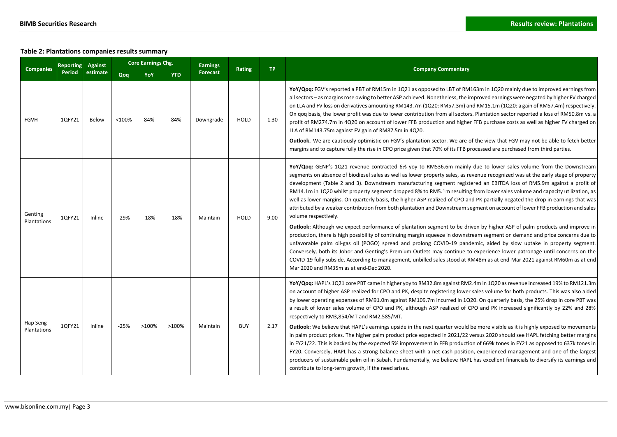## **Table 2: Plantations companies results summary**

| <b>Companies</b>        | <b>Reporting</b> | Against  |        | <b>Core Earnings Chg.</b> |            | <b>Earnings</b> | Rating      | <b>TP</b> | <b>Company Commentary</b>                                                                                                                                                                                                                                                                                                                                                                                                                                                                                                                                                                                                                                                                                                                                                                                                                                                                                                                                                                                                                                                                                                                                                                                                                                                                                                                                                                                                                                                                             |  |  |  |
|-------------------------|------------------|----------|--------|---------------------------|------------|-----------------|-------------|-----------|-------------------------------------------------------------------------------------------------------------------------------------------------------------------------------------------------------------------------------------------------------------------------------------------------------------------------------------------------------------------------------------------------------------------------------------------------------------------------------------------------------------------------------------------------------------------------------------------------------------------------------------------------------------------------------------------------------------------------------------------------------------------------------------------------------------------------------------------------------------------------------------------------------------------------------------------------------------------------------------------------------------------------------------------------------------------------------------------------------------------------------------------------------------------------------------------------------------------------------------------------------------------------------------------------------------------------------------------------------------------------------------------------------------------------------------------------------------------------------------------------------|--|--|--|
|                         | Period           | estimate | Qoq    | YoY                       | <b>YTD</b> | <b>Forecast</b> |             |           |                                                                                                                                                                                                                                                                                                                                                                                                                                                                                                                                                                                                                                                                                                                                                                                                                                                                                                                                                                                                                                                                                                                                                                                                                                                                                                                                                                                                                                                                                                       |  |  |  |
| <b>FGVH</b>             | 1QFY21           | Below    | <100%  | 84%                       | 84%        | Downgrade       | <b>HOLD</b> | 1.30      | YoY/Qoq: FGV's reported a PBT of RM15m in 1Q21 as opposed to LBT of RM163m in 1Q20 mainly due to improved earnings from<br>all sectors - as margins rose owing to better ASP achieved. Nonetheless, the improved earnings were negated by higher FV charged<br>on LLA and FV loss on derivatives amounting RM143.7m (1Q20: RM57.3m) and RM15.1m (1Q20: a gain of RM57.4m) respectively.<br>On qoq basis, the lower profit was due to lower contribution from all sectors. Plantation sector reported a loss of RM50.8m vs. a<br>profit of RM274.7m in 4Q20 on account of lower FFB production and higher FFB purchase costs as well as higher FV charged on<br>LLA of RM143.75m against FV gain of RM87.5m in 4Q20.<br><b>Outlook.</b> We are cautiously optimistic on FGV's plantation sector. We are of the view that FGV may not be able to fetch better<br>margins and to capture fully the rise in CPO price given that 70% of its FFB processed are purchased from third parties.                                                                                                                                                                                                                                                                                                                                                                                                                                                                                                               |  |  |  |
| Genting<br>Plantations  | 1QFY21           | Inline   | $-29%$ | $-18%$                    | $-18%$     | Maintain        | <b>HOLD</b> | 9.00      | YoY/Qoq: GENP's 1Q21 revenue contracted 6% yoy to RM536.6m mainly due to lower sales volume from the Downstream<br>segments on absence of biodiesel sales as well as lower property sales, as revenue recognized was at the early stage of property<br>development (Table 2 and 3). Downstream manufacturing segment registered an EBITDA loss of RM5.9m against a profit of<br>RM14.1m in 1Q20 whilst property segment dropped 8% to RM5.1m resulting from lower sales volume and capacity utilization, as<br>well as lower margins. On quarterly basis, the higher ASP realized of CPO and PK partially negated the drop in earnings that was<br>attributed by a weaker contribution from both plantation and Downstream segment on account of lower FFB production and sales<br>volume respectively.<br><b>Outlook:</b> Although we expect performance of plantation segment to be driven by higher ASP of palm products and improve in<br>production, there is high possibility of continuing margin squeeze in downstream segment on demand and price concerns due to<br>unfavorable palm oil-gas oil (POGO) spread and prolong COVID-19 pandemic, aided by slow uptake in property segment.<br>Conversely, both its Johor and Genting's Premium Outlets may continue to experience lower patronage until concerns on the<br>COVID-19 fully subside. According to management, unbilled sales stood at RM48m as at end-Mar 2021 against RM60m as at end<br>Mar 2020 and RM35m as at end-Dec 2020. |  |  |  |
| Hap Seng<br>Plantations | 1QFY21           | Inline   | $-25%$ | >100%                     | >100%      | Maintain        | <b>BUY</b>  | 2.17      | YoY/Qoq: HAPL's 1Q21 core PBT came in higher yoy to RM32.8m against RM2.4m in 1Q20 as revenue increased 19% to RM121.3m<br>on account of higher ASP realized for CPO and PK, despite registering lower sales volume for both products. This was also aided<br>by lower operating expenses of RM91.0m against RM109.7m incurred in 1Q20. On quarterly basis, the 25% drop in core PBT was<br>a result of lower sales volume of CPO and PK, although ASP realized of CPO and PK increased significantly by 22% and 28%<br>respectively to RM3,854/MT and RM2,585/MT.<br>Outlook: We believe that HAPL's earnings upside in the next quarter would be more visible as it is highly exposed to movements<br>in palm product prices. The higher palm product price expected in 2021/22 versus 2020 should see HAPL fetching better margins<br>in FY21/22. This is backed by the expected 5% improvement in FFB production of 669k tones in FY21 as opposed to 637k tones in<br>FY20. Conversely, HAPL has a strong balance-sheet with a net cash position, experienced management and one of the largest<br>producers of sustainable palm oil in Sabah. Fundamentally, we believe HAPL has excellent financials to diversify its earnings and<br>contribute to long-term growth, if the need arises.                                                                                                                                                                                                       |  |  |  |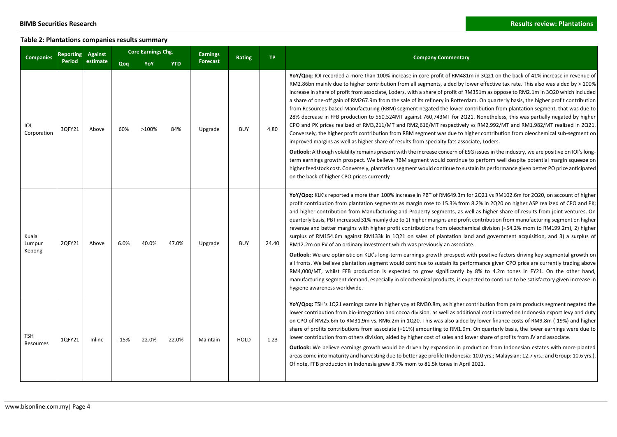## **Table 2: Plantations companies results summary**

| <b>Companies</b>          | Reporting |          | <b>Core Earnings Chg.</b> |       |            | <b>Earnings</b> | Rating      | TP.   |                                                                                                                                                                                                                                                                                                                                                                                                                                                                                                                                                                                                                                                                                                                                                                                                                                                                                                                                                                                                                                                                                                                                                                                                                                                                                                                                                                                                                                                                                                                                                                                                                  |
|---------------------------|-----------|----------|---------------------------|-------|------------|-----------------|-------------|-------|------------------------------------------------------------------------------------------------------------------------------------------------------------------------------------------------------------------------------------------------------------------------------------------------------------------------------------------------------------------------------------------------------------------------------------------------------------------------------------------------------------------------------------------------------------------------------------------------------------------------------------------------------------------------------------------------------------------------------------------------------------------------------------------------------------------------------------------------------------------------------------------------------------------------------------------------------------------------------------------------------------------------------------------------------------------------------------------------------------------------------------------------------------------------------------------------------------------------------------------------------------------------------------------------------------------------------------------------------------------------------------------------------------------------------------------------------------------------------------------------------------------------------------------------------------------------------------------------------------------|
|                           | Period    | estimate | Qoq                       | YoY   | <b>YTD</b> | <b>Forecast</b> |             |       | <b>Company Commentary</b>                                                                                                                                                                                                                                                                                                                                                                                                                                                                                                                                                                                                                                                                                                                                                                                                                                                                                                                                                                                                                                                                                                                                                                                                                                                                                                                                                                                                                                                                                                                                                                                        |
| ioi<br>Corporation        | 3QFY21    | Above    | 60%                       | >100% | 84%        | Upgrade         | <b>BUY</b>  | 4.80  | YoY/Qoq: IOI recorded a more than 100% increase in core profit of RM481m in 3Q21 on the back of 41% increase in revenue of<br>RM2.86bn mainly due to higher contribution from all segments, aided by lower effective tax rate. This also was aided by > 100%<br>increase in share of profit from associate, Loders, with a share of profit of RM351m as oppose to RM2.1m in 3Q20 which included<br>a share of one-off gain of RM267.9m from the sale of its refinery in Rotterdam. On quarterly basis, the higher profit contribution<br>from Resources-based Manufacturing (RBM) segment negated the lower contribution from plantation segment, that was due to<br>28% decrease in FFB production to 550,524MT against 760,743MT for 2Q21. Nonetheless, this was partially negated by higher<br>CPO and PK prices realized of RM3,211/MT and RM2,616/MT respectively vs RM2,992/MT and RM1,982/MT realized in 2Q21.<br>Conversely, the higher profit contribution from RBM segment was due to higher contribution from oleochemical sub-segment on<br>improved margins as well as higher share of results from specialty fats associate, Loders.<br><b>Outlook:</b> Although volatility remains present with the increase concern of ESG issues in the industry, we are positive on IOI's long-<br>term earnings growth prospect. We believe RBM segment would continue to perform well despite potential margin squeeze on<br>higher feedstock cost. Conversely, plantation segment would continue to sustain its performance given better PO price anticipated<br>on the back of higher CPO prices currently |
| Kuala<br>Lumpur<br>Kepong | 2QFY21    | Above    | 6.0%                      | 40.0% | 47.0%      | Upgrade         | <b>BUY</b>  | 24.40 | YoY/Qog: KLK's reported a more than 100% increase in PBT of RM649.3m for 2Q21 vs RM102.6m for 2Q20, on account of higher<br>profit contribution from plantation segments as margin rose to 15.3% from 8.2% in 2Q20 on higher ASP realized of CPO and PK;<br>and higher contribution from Manufacturing and Property segments, as well as higher share of results from joint ventures. On<br>quarterly basis, PBT increased 31% mainly due to 1) higher margins and profit contribution from manufacturing segment on higher<br>revenue and better margins with higher profit contributions from oleochemical division (+54.2% mom to RM199.2m), 2) higher<br>surplus of RM154.6m against RM133k in 1Q21 on sales of plantation land and government acquisition, and 3) a surplus of<br>RM12.2m on FV of an ordinary investment which was previously an associate.<br><b>Outlook:</b> We are optimistic on KLK's long-term earnings growth prospect with positive factors driving key segmental growth on<br>all fronts. We believe plantation segment would continue to sustain its performance given CPO price are currently trading above<br>RM4,000/MT, whilst FFB production is expected to grow significantly by 8% to 4.2m tones in FY21. On the other hand,<br>manufacturing segment demand, especially in oleochemical products, is expected to continue to be satisfactory given increase in<br>hygiene awareness worldwide.                                                                                                                                                                            |
| TSH<br>Resources          | 1QFY21    | Inline   | $-15%$                    | 22.0% | 22.0%      | Maintain        | <b>HOLD</b> | 1.23  | YoY/Qoq: TSH's 1Q21 earnings came in higher yoy at RM30.8m, as higher contribution from palm products segment negated the<br>lower contribution from bio-integration and cocoa division, as well as additional cost incurred on Indonesia export levy and duty<br>on CPO of RM25.6m to RM31.9m vs. RM6.2m in 1Q20. This was also aided by lower finance costs of RM9.8m (-19%) and higher<br>share of profits contributions from associate (+11%) amounting to RM1.9m. On quarterly basis, the lower earnings were due to<br>lower contribution from others division, aided by higher cost of sales and lower share of profits from JV and associate.<br><b>Outlook:</b> We believe earnings growth would be driven by expansion in production from Indonesian estates with more planted<br>areas come into maturity and harvesting due to better age profile (Indonesia: 10.0 yrs.; Malaysian: 12.7 yrs.; and Group: 10.6 yrs.).<br>Of note, FFB production in Indonesia grew 8.7% mom to 81.5k tones in April 2021.                                                                                                                                                                                                                                                                                                                                                                                                                                                                                                                                                                                            |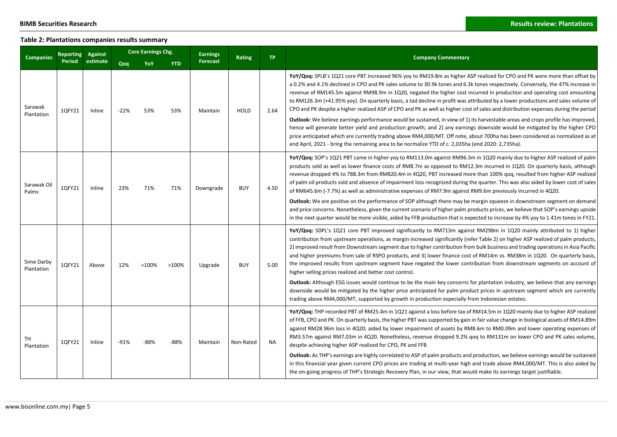## **Table 2: Plantations companies results summary**

|                          | Against<br>Reporting |          | Core Earnings Chg. |        |            | <b>Earnings</b> |               | <b>TP</b> |                                                                                                                                                                                                                                                                                                                                                                                                                                                                                                                                                                                                                                                                                                                                                                                                                                                                                                                                                                                                                                                                                                                                                                                  |
|--------------------------|----------------------|----------|--------------------|--------|------------|-----------------|---------------|-----------|----------------------------------------------------------------------------------------------------------------------------------------------------------------------------------------------------------------------------------------------------------------------------------------------------------------------------------------------------------------------------------------------------------------------------------------------------------------------------------------------------------------------------------------------------------------------------------------------------------------------------------------------------------------------------------------------------------------------------------------------------------------------------------------------------------------------------------------------------------------------------------------------------------------------------------------------------------------------------------------------------------------------------------------------------------------------------------------------------------------------------------------------------------------------------------|
| <b>Companies</b>         | Period               | estimate | Qoq                | YoY    | <b>YTD</b> | <b>Forecast</b> | <b>Rating</b> |           | <b>Company Commentary</b>                                                                                                                                                                                                                                                                                                                                                                                                                                                                                                                                                                                                                                                                                                                                                                                                                                                                                                                                                                                                                                                                                                                                                        |
| Sarawak<br>Plantation    | 1QFY21               | Inline   | $-22%$             | 53%    | 53%        | Maintain        | <b>HOLD</b>   | 2.64      | YoY/Qoq: SPLB's 1Q21 core PBT increased 96% yoy to RM19.8m as higher ASP realized for CPO and PK were more than offset by<br>a 0.2% and 4.1% declined in CPO and PK sales volume to 30.9k tones and 6.3k tones respectively. Conversely, the 47% increase in<br>revenue of RM145.5m against RM98.9m in 1Q20, negated the higher cost incurred in production and operating cost amounting<br>to RM126.3m (+41.95% yoy). On quarterly basis, a tad decline in profit was attributed by a lower productions and sales volume of<br>CPO and PK despite a higher realized ASP of CPO and PK as well as higher cost of sales and distribution expenses during the period<br><b>Outlook:</b> We believe earnings performance would be sustained, in view of 1) its harvestable areas and crops profile has improved,<br>hence will generate better yield and production growth, and 2) any earnings downside would be mitigated by the higher CPO<br>price anticipated which are currently trading above RM4,000/MT. Off note, about 700ha has been considered as normalized as at<br>end April, 2021 - bring the remaining area to be normalize YTD of c. 2,035ha (end 2020: 2,735ha). |
| Sarawak Oil<br>Palms     | 1QFY21               | Inline   | 23%                | 71%    | 71%        | Downgrade       | <b>BUY</b>    | 4.50      | YoY/Qoq: SOP's 1Q21 PBT came in higher yoy to RM113.0m against RM96.3m in 1Q20 mainly due to higher ASP realized of palm<br>products sold as well as lower finance costs of RM8.7m as opposed to RM12.3m incurred in 1Q20. On quarterly basis, although<br>revenue dropped 4% to 788.3m from RM820.4m in 4Q20, PBT increased more than 100% qoq, resulted from higher ASP realized<br>of palm oil products sold and absence of impairment loss recognized during the quarter. This was also aided by lower cost of sales<br>of RM645.6m (-7.7%) as well as administrative expenses of RM7.9m against RM9.6m previously incurred in 4Q20.<br>Outlook: We are positive on the performance of SOP although there may be margin squeeze in downstream segment on demand<br>and price concerns. Nonetheless, given the current scenario of higher palm products prices, we believe that SOP's earnings upside<br>in the next quarter would be more visible, aided by FFB production that is expected to increase by 4% yoy to 1.41m tones in FY21.                                                                                                                                    |
| Sime Darby<br>Plantation | 1QFY21               | Above    | 12%                | >100%  | >100%      | Upgrade         | <b>BUY</b>    | 5.00      | YoY/Qoq: SDPL's 1Q21 core PBT improved significantly to RM713m against RM298m in 1Q20 mainly attributed to 1) higher<br>contribution from upstream operations, as margin increased significantly (refer Table 2) on higher ASP realized of palm products,<br>2) improved result from Downstream segment due to higher contribution from bulk business and trading operations in Asia Pacific<br>and higher premiums from sale of RSPO products, and 3) lower finance cost of RM14m vs. RM38m in 1Q20. On quarterly basis,<br>the improved results from upstream segment have negated the lower contribution from downstream segments on account of<br>higher selling prices realized and better cost control.<br><b>Outlook:</b> Although ESG issues would continue to be the main key concerns for plantation industry, we believe that any earnings<br>downside would be mitigated by the higher price anticipated for palm product prices in upstream segment which are currently<br>trading above RM4,000/MT, supported by growth in production especially from Indonesian estates.                                                                                          |
| TН<br>Plantation         | 1QFY21               | Inline   | $-91%$             | $-88%$ | $-88%$     | Maintain        | Non-Rated     | <b>NA</b> | YoY/Qoq: THP recorded PBT of RM25.4m in 1Q21 against a loss before tax of RM14.5m in 1Q20 mainly due to higher ASP realized<br>of FFB, CPO and PK. On quarterly basis, the higher PBT was supported by gain in fair value change in biological assets of RM14.89m<br>against RM28.96m loss in 4Q20; aided by lower impairment of assets by RM8.6m to RM0.09m and lower operating expenses of<br>RM3.57m against RM7.03m in 4Q20. Nonetheless, revenue dropped 9.2% gog to RM131m on lower CPO and PK sales volume,<br>despite achieving higher ASP realized for CPO, PK and FFB<br><b>Outlook:</b> As THP's earnings are highly correlated to ASP of palm products and production, we believe earnings would be sustained<br>in this financial year given current CPO prices are trading at multi-year high and trade above RM4,000/MT. This is also aided by<br>the on-going progress of THP's Strategic Recovery Plan, in our view, that would make its earnings target justifiable.                                                                                                                                                                                           |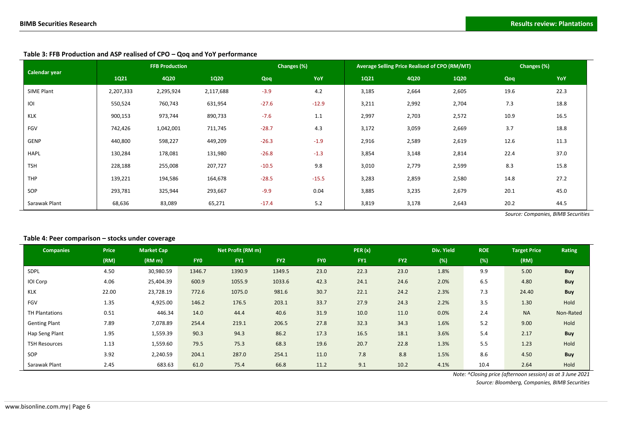| Calendar year |           | <b>FFB Production</b> |             |         | Changes (%) |       | Average Selling Price Realised of CPO (RM/MT) | Changes (%) |      |      |
|---------------|-----------|-----------------------|-------------|---------|-------------|-------|-----------------------------------------------|-------------|------|------|
|               | 1Q21      | 4Q20                  | <b>1Q20</b> | Qoq     | YoY         | 1Q21  | <b>4Q20</b>                                   | <b>1Q20</b> | Qoq  | YoY  |
| SIME Plant    | 2,207,333 | 2,295,924             | 2,117,688   | $-3.9$  | 4.2         | 3,185 | 2,664                                         | 2,605       | 19.6 | 22.3 |
| IOI           | 550,524   | 760,743               | 631,954     | $-27.6$ | $-12.9$     | 3,211 | 2,992                                         | 2,704       | 7.3  | 18.8 |
| <b>KLK</b>    | 900,153   | 973,744               | 890,733     | $-7.6$  | 1.1         | 2,997 | 2,703                                         | 2,572       | 10.9 | 16.5 |
| FGV           | 742,426   | 1,042,001             | 711,745     | $-28.7$ | 4.3         | 3,172 | 3,059                                         | 2,669       | 3.7  | 18.8 |
| GENP          | 440,800   | 598,227               | 449,209     | $-26.3$ | $-1.9$      | 2,916 | 2,589                                         | 2,619       | 12.6 | 11.3 |
| <b>HAPL</b>   | 130,284   | 178,081               | 131,980     | $-26.8$ | $-1.3$      | 3,854 | 3,148                                         | 2,814       | 22.4 | 37.0 |
| <b>TSH</b>    | 228,188   | 255,008               | 207,727     | $-10.5$ | 9.8         | 3,010 | 2,779                                         | 2,599       | 8.3  | 15.8 |
| <b>THP</b>    | 139,221   | 194,586               | 164,678     | $-28.5$ | $-15.5$     | 3,283 | 2,859                                         | 2,580       | 14.8 | 27.2 |
| SOP           | 293,781   | 325,944               | 293,667     | $-9.9$  | 0.04        | 3,885 | 3,235                                         | 2,679       | 20.1 | 45.0 |
| Sarawak Plant | 68,636    | 83,089                | 65,271      | $-17.4$ | 5.2         | 3,819 | 3,178                                         | 2,643       | 20.2 | 44.5 |

**Table 3: FFB Production and ASP realised of CPO – Qoq and YoY performance**

*Source: Companies, BIMB Securities*

### **Table 4: Peer comparison – stocks under coverage**

| <b>Companies</b>     | <b>Price</b> | <b>Market Cap</b>  |            | Net Profit (RM m) |                 |            | PER(x) |                 | Div. Yield | <b>ROE</b> | <b>Target Price</b> | Rating     |
|----------------------|--------------|--------------------|------------|-------------------|-----------------|------------|--------|-----------------|------------|------------|---------------------|------------|
|                      | (RM)         | (RM <sub>m</sub> ) | <b>FYO</b> | FY1               | FY <sub>2</sub> | <b>FYO</b> | FY1    | FY <sub>2</sub> | (%)        | (%)        | (RM)                |            |
| SDPL                 | 4.50         | 30,980.59          | 1346.7     | 1390.9            | 1349.5          | 23.0       | 22.3   | 23.0            | 1.8%       | 9.9        | 5.00                | <b>Buy</b> |
| IOI Corp             | 4.06         | 25,404.39          | 600.9      | 1055.9            | 1033.6          | 42.3       | 24.1   | 24.6            | 2.0%       | 6.5        | 4.80                | <b>Buy</b> |
| KLK                  | 22.00        | 23,728.19          | 772.6      | 1075.0            | 981.6           | 30.7       | 22.1   | 24.2            | 2.3%       | 7.3        | 24.40               | Buy        |
| FGV                  | 1.35         | 4,925.00           | 146.2      | 176.5             | 203.1           | 33.7       | 27.9   | 24.3            | 2.2%       | 3.5        | 1.30                | Hold       |
| TH Plantations       | 0.51         | 446.34             | 14.0       | 44.4              | 40.6            | 31.9       | 10.0   | 11.0            | 0.0%       | 2.4        | <b>NA</b>           | Non-Rated  |
| <b>Genting Plant</b> | 7.89         | 7,078.89           | 254.4      | 219.1             | 206.5           | 27.8       | 32.3   | 34.3            | 1.6%       | 5.2        | 9.00                | Hold       |
| Hap Seng Plant       | 1.95         | 1,559.39           | 90.3       | 94.3              | 86.2            | 17.3       | 16.5   | 18.1            | 3.6%       | 5.4        | 2.17                | <b>Buy</b> |
| <b>TSH Resources</b> | 1.13         | 1,559.60           | 79.5       | 75.3              | 68.3            | 19.6       | 20.7   | 22.8            | 1.3%       | 5.5        | 1.23                | Hold       |
| SOP                  | 3.92         | 2,240.59           | 204.1      | 287.0             | 254.1           | 11.0       | 7.8    | 8.8             | 1.5%       | 8.6        | 4.50                | <b>Buy</b> |
| Sarawak Plant        | 2.45         | 683.63             | 61.0       | 75.4              | 66.8            | 11.2       | 9.1    | 10.2            | 4.1%       | 10.4       | 2.64                | Hold       |

*Note: ^Closing price (afternoon session) as at 3 June 2021*

*Source: Bloomberg, Companies, BIMB Securities*